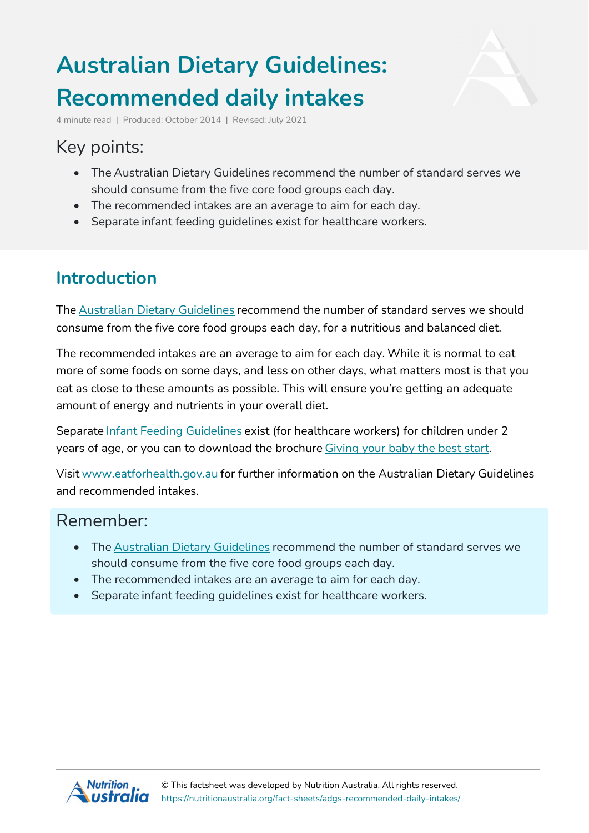# **Australian Dietary Guidelines: Recommended daily intakes**



4 minute read | Produced: October 2014 | Revised: July 2021

# Key points:

- The Australian Dietary Guidelines recommend the number of standard serves we should consume from the five core food groups each day.
- The recommended intakes are an average to aim for each day.
- Separate infant feeding guidelines exist for healthcare workers.

### **Introduction**

The Australian Dietary [Guidelines](https://nutritionaustralia.org/fact-sheets/adg-2013/) recommend the number of standard serves we should consume from the five core food groups each day, for a nutritious and balanced diet.

The recommended intakes are an average to aim for each day. While it is normal to eat more of some foods on some days, and less on other days, what matters most is that you eat as close to these amounts as possible. This will ensure you're getting an adequate amount of energy and nutrients in your overall diet.

Separate Infant Feeding [Guidelines](http://www.eatforhealth.gov.au/sites/default/files/files/the_guidelines/n56b_infant_feeding_summary_130808.pdf) exist (for healthcare workers) for children under 2 years of age, or you can to download the brochure [Giving](http://www.eatforhealth.gov.au/sites/default/files/files/the_guidelines/n55e_infant_brochure.pdf) your baby the best start.

Visit [www.eatforhealth.gov.au](http://www.eatforhealth.gov.au/) for further information on the Australian Dietary Guidelines and recommended intakes.

#### Remember:

- The Australian Dietary [Guidelines](https://nutritionaustralia.org/fact-sheets/adg-2013/) recommend the number of standard serves we should consume from the five core food groups each day.
- The recommended intakes are an average to aim for each day.
- Separate infant feeding guidelines exist for healthcare workers.

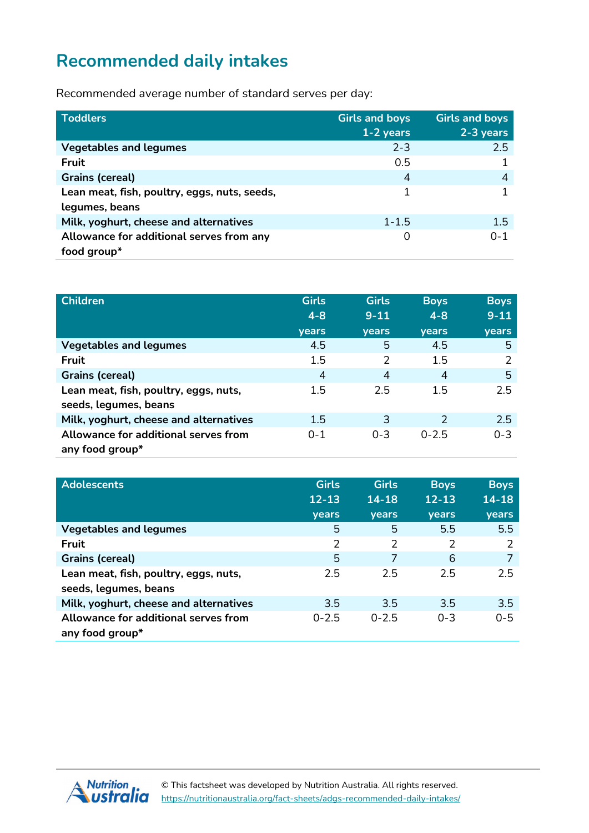# **Recommended daily intakes**

Recommended average number of standard serves per day:

| <b>Toddlers</b>                              | <b>Girls and boys</b><br>$1 - 2$ years | <b>Girls and boys</b><br>$2-3$ years |
|----------------------------------------------|----------------------------------------|--------------------------------------|
| <b>Vegetables and legumes</b>                | $2 - 3$                                | 2.5                                  |
| <b>Fruit</b>                                 | 0.5                                    |                                      |
| <b>Grains (cereal)</b>                       | 4                                      | 4                                    |
| Lean meat, fish, poultry, eggs, nuts, seeds, |                                        |                                      |
| legumes, beans                               |                                        |                                      |
| Milk, yoghurt, cheese and alternatives       | $1 - 1.5$                              | 1.5                                  |
| Allowance for additional serves from any     | 0                                      | $0 - 1$                              |
| food group*                                  |                                        |                                      |

| <b>Children</b>                                         | <b>Girls</b><br>$4 - 8$ | <b>Girls</b><br>$9 - 11$ | <b>Boys</b><br>$4 - 8$ | <b>Boys</b><br>$9 - 11$ |
|---------------------------------------------------------|-------------------------|--------------------------|------------------------|-------------------------|
|                                                         | years                   | <b>vears</b>             | <b>vears</b>           | years                   |
| <b>Vegetables and legumes</b>                           | 4.5                     | 5                        | 4.5                    | 5                       |
| Fruit                                                   | 1.5                     | 2                        | 1.5                    | $\mathcal{P}$           |
| <b>Grains (cereal)</b>                                  | $\overline{4}$          | $\overline{4}$           | 4                      | 5                       |
| Lean meat, fish, poultry, eggs, nuts,                   | 1.5                     | 2.5                      | 1.5                    | 2.5                     |
| seeds, legumes, beans                                   |                         |                          |                        |                         |
| Milk, yoghurt, cheese and alternatives                  | 1.5                     | 3                        | $\mathcal{P}$          | 2.5                     |
| Allowance for additional serves from<br>any food group* | $0 - 1$                 | $0 - 3$                  | $0 - 2.5$              | $0 - 3$                 |

| <b>Adolescents</b>                     | <b>Girls</b> | <b>Girls</b> | <b>Boys</b>  | <b>Boys</b>   |
|----------------------------------------|--------------|--------------|--------------|---------------|
|                                        | $12 - 13$    | $14 - 18$    | $12 - 13$    | $14 - 18$     |
|                                        | years        | <b>vears</b> | <b>vears</b> | years         |
| <b>Vegetables and legumes</b>          | 5            | 5            | 5.5          | 5.5           |
| Fruit                                  | 2            | 2            | 2            | $\mathcal{P}$ |
| <b>Grains (cereal)</b>                 | 5            | 7            | 6            |               |
| Lean meat, fish, poultry, eggs, nuts,  | 2.5          | 2.5          | 2.5          | 2.5           |
| seeds, legumes, beans                  |              |              |              |               |
| Milk, yoghurt, cheese and alternatives | 3.5          | 3.5          | 3.5          | 3.5           |
| Allowance for additional serves from   | $0 - 2.5$    | $0 - 2.5$    | $0 - 3$      | $0 - 5$       |
| any food group*                        |              |              |              |               |